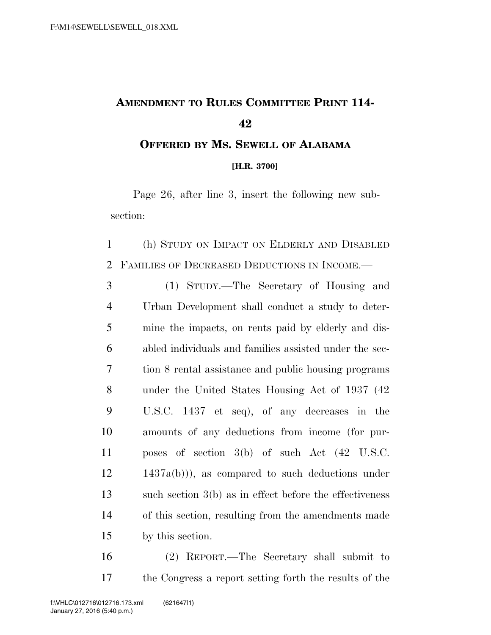## **AMENDMENT TO RULES COMMITTEE PRINT 114-**

## **OFFERED BY MS. SEWELL OF ALABAMA [H.R. 3700]**

Page 26, after line 3, insert the following new subsection:

 (h) STUDY ON IMPACT ON ELDERLY AND DISABLED FAMILIES OF DECREASED DEDUCTIONS IN INCOME.—

 (1) STUDY.—The Secretary of Housing and Urban Development shall conduct a study to deter- mine the impacts, on rents paid by elderly and dis- abled individuals and families assisted under the sec- tion 8 rental assistance and public housing programs under the United States Housing Act of 1937 (42 U.S.C. 1437 et seq), of any decreases in the amounts of any deductions from income (for pur- poses of section 3(b) of such Act (42 U.S.C. 1437a(b))), as compared to such deductions under such section 3(b) as in effect before the effectiveness of this section, resulting from the amendments made by this section.

 (2) REPORT.—The Secretary shall submit to the Congress a report setting forth the results of the